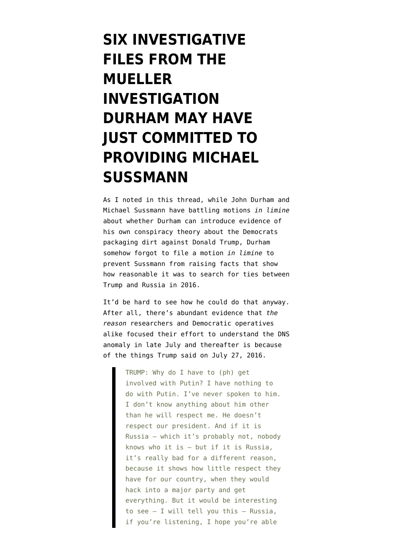## **[SIX INVESTIGATIVE](https://www.emptywheel.net/2022/04/08/six-investigative-subjects-from-the-mueller-investigation-durham-may-have-just-committed-to-providing-michael-sussmann/) [FILES FROM THE](https://www.emptywheel.net/2022/04/08/six-investigative-subjects-from-the-mueller-investigation-durham-may-have-just-committed-to-providing-michael-sussmann/) [MUELLER](https://www.emptywheel.net/2022/04/08/six-investigative-subjects-from-the-mueller-investigation-durham-may-have-just-committed-to-providing-michael-sussmann/) [INVESTIGATION](https://www.emptywheel.net/2022/04/08/six-investigative-subjects-from-the-mueller-investigation-durham-may-have-just-committed-to-providing-michael-sussmann/) [DURHAM MAY HAVE](https://www.emptywheel.net/2022/04/08/six-investigative-subjects-from-the-mueller-investigation-durham-may-have-just-committed-to-providing-michael-sussmann/) [JUST COMMITTED TO](https://www.emptywheel.net/2022/04/08/six-investigative-subjects-from-the-mueller-investigation-durham-may-have-just-committed-to-providing-michael-sussmann/) [PROVIDING MICHAEL](https://www.emptywheel.net/2022/04/08/six-investigative-subjects-from-the-mueller-investigation-durham-may-have-just-committed-to-providing-michael-sussmann/) [SUSSMANN](https://www.emptywheel.net/2022/04/08/six-investigative-subjects-from-the-mueller-investigation-durham-may-have-just-committed-to-providing-michael-sussmann/)**

As I noted in [this thread,](https://www.emptywheel.net/2022/04/06/tunnel-vision-durham-treats-citizens-research-into-real-paul-manafort-crimes-like-a-criminal-conspiracy/) while [John Durham](https://storage.courtlistener.com/recap/gov.uscourts.dcd.235638/gov.uscourts.dcd.235638.61.0_1.pdf) and [Michael Sussmann](https://storage.courtlistener.com/recap/gov.uscourts.dcd.235638/gov.uscourts.dcd.235638.60.0_1.pdf) have battling motions *in limine* about whether Durham can introduce evidence of his own conspiracy theory about the Democrats packaging dirt against Donald Trump, Durham somehow forgot to file a motion *in limine* to prevent Sussmann from raising facts that show how reasonable it was to search for ties between Trump and Russia in 2016.

It'd be hard to see how he could do that anyway. After all, there's abundant evidence that *the reason* researchers and Democratic operatives alike focused their effort to understand the DNS anomaly in late July and thereafter is because of [the things Trump said on July 27, 2016.](https://www.washingtonpost.com/news/the-fix/wp/2016/07/27/donald-trumps-falsehood-laden-press-conference-annotated/)

> TRUMP: Why do I have to (ph) get involved with Putin? I have nothing to do with Putin. I've never spoken to him. I don't know anything about him other than he will respect me. He doesn't respect our president. And if it is Russia — which it's probably not, nobody knows who it is — but if it is Russia, it's really bad for a different reason, because it shows how little respect they have for our country, when they would hack into a major party and get everything. But it would be interesting to see  $-$  I will tell you this  $-$  Russia, if you're listening, I hope you're able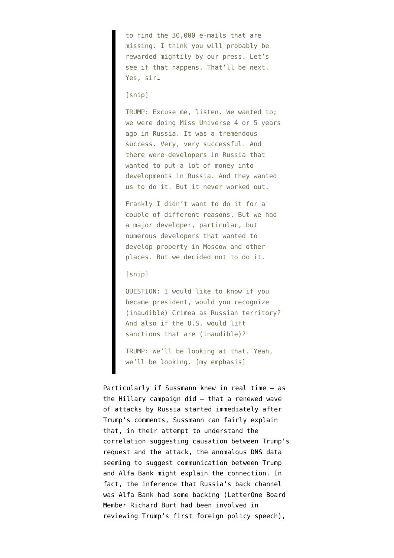to find the 30,000 e-mails that are missing. I think you will probably be rewarded mightily by our press. Let's see if that happens. That'll be next. Yes, sir…

[snip]

TRUMP: Excuse me, listen. We wanted to; we were doing Miss Universe 4 or 5 years ago in Russia. It was a tremendous success. Very, very successful. And there were developers in Russia that wanted to put a lot of money into developments in Russia. And they wanted us to do it. But it never worked out.

Frankly I didn't want to do it for a couple of different reasons. But we had a major developer, particular, but numerous developers that wanted to develop property in Moscow and other places. But we decided not to do it.

## [snip]

QUESTION: I would like to know if you became president, would you recognize (inaudible) Crimea as Russian territory? And also if the U.S. would lift sanctions that are (inaudible)?

TRUMP: We'll be looking at that. Yeah, we'll be looking. [my emphasis]

Particularly if Sussmann knew in real time — as the Hillary campaign did — that a renewed wave of attacks by Russia started immediately after Trump's comments, Sussmann can fairly explain that, in their attempt to understand the correlation suggesting causation between Trump's request and the attack, the anomalous DNS data seeming to suggest communication between Trump and Alfa Bank might explain the connection. In fact, the inference that Russia's back channel was Alfa Bank had some backing (LetterOne Board Member Richard Burt [had been involved in](https://www.documentcloud.org/documents/20401920-201102-mueller-report#document/p114/a2094941) [reviewing Trump's first foreign policy speech](https://www.documentcloud.org/documents/20401920-201102-mueller-report#document/p114/a2094941)),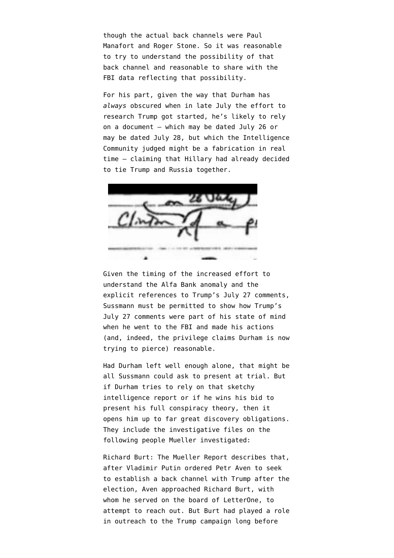though the actual back channels were Paul Manafort and Roger Stone. So it was reasonable to try to understand the possibility of that back channel and reasonable to share with the FBI data reflecting that possibility.

For his part, given the way that Durham has *always* obscured when in late July the effort to research Trump got started, he's likely to rely on [a document](https://www.courtlistener.com/recap/gov.uscourts.dcd.191592/gov.uscourts.dcd.191592.261.5_2.pdf) — which may be dated July 26 or may be dated July 28, but which [the Intelligence](https://www.courtlistener.com/recap/gov.uscourts.dcd.191592/gov.uscourts.dcd.191592.261.4.pdf) [Community judged might be a fabrication](https://www.courtlistener.com/recap/gov.uscourts.dcd.191592/gov.uscourts.dcd.191592.261.4.pdf) in real time — claiming that Hillary had already decided to tie Trump and Russia together.



Given the timing of the increased effort to understand the Alfa Bank anomaly and the explicit references to Trump's July 27 comments, Sussmann must be permitted to show how Trump's July 27 comments were part of his state of mind when he went to the FBI and made his actions (and, indeed, the privilege claims Durham is now trying to pierce) reasonable.

Had Durham left well enough alone, that might be all Sussmann could ask to present at trial. But if Durham tries to rely on that sketchy intelligence report or if he wins his bid to present his full conspiracy theory, then it opens him up to far great discovery obligations. They include the investigative files on the following people Mueller investigated:

Richard Burt: The [Mueller Report describes](https://www.documentcloud.org/documents/20401920-201102-mueller-report#document/p172/a2094940) that, after Vladimir Putin ordered Petr Aven to seek to establish a back channel with Trump after the election, Aven approached Richard Burt, with whom he served on the board of LetterOne, to attempt to reach out. But Burt had played a role in outreach to the Trump campaign long before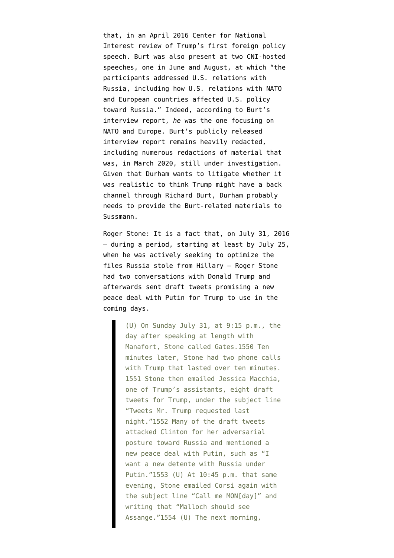that, in an April 2016 Center for National Interest review of Trump's first foreign policy speech. Burt was also present at two CNI-hosted speeches, one in June and August, at which "the participants addressed U.S. relations with Russia, including how U.S. relations with NATO and European countries affected U.S. policy toward Russia." Indeed, according to Burt's interview report, *[he](https://www.documentcloud.org/documents/6792384-6th-Mueller-Document-FOIA-Response.html#document/p21/a2094942)* [was the one](https://www.documentcloud.org/documents/6792384-6th-Mueller-Document-FOIA-Response.html#document/p21/a2094942) focusing on NATO and Europe. Burt's [publicly released](https://www.documentcloud.org/documents/6792384-6th-Mueller-Document-FOIA-Response.html#document/p13/a554272) [interview report](https://www.documentcloud.org/documents/6792384-6th-Mueller-Document-FOIA-Response.html#document/p13/a554272) remains heavily redacted, including numerous redactions of material that was, in March 2020, still under investigation. Given that Durham wants to litigate whether it was realistic to think Trump might have a back channel through Richard Burt, Durham probably needs to provide the Burt-related materials to Sussmann.

Roger Stone: It is a fact that, on July 31, 2016 — during a period, starting at least by July 25, when he was actively seeking to optimize the files Russia stole from Hillary — Roger Stone had two conversations with Donald Trump and afterwards [sent draft tweets](https://www.documentcloud.org/documents/7039357-200818-SSCI-Russia-Report#document/p251/a577024) promising a new peace deal with Putin for Trump to use in the coming days.

> (U) On Sunday July 31, at 9:15 p.m., the day after speaking at length with Manafort, Stone called Gates.1550 Ten minutes later, Stone had two phone calls with Trump that lasted over ten minutes. 1551 Stone then emailed Jessica Macchia, one of Trump's assistants, eight draft tweets for Trump, under the subject line "Tweets Mr. Trump requested last night."1552 Many of the draft tweets attacked Clinton for her adversarial posture toward Russia and mentioned a new peace deal with Putin, such as "I want a new detente with Russia under Putin."1553 (U) At 10:45 p.m. that same evening, Stone emailed Corsi again with the subject line "Call me MON[day]" and writing that "Malloch should see Assange."1554 (U) The next morning,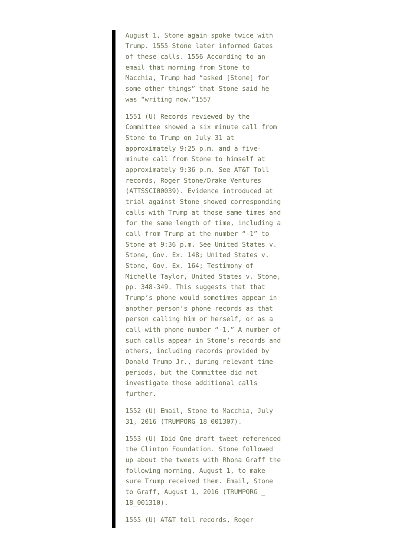August 1, Stone again spoke twice with Trump. 1555 Stone later informed Gates of these calls. 1556 According to an email that morning from Stone to Macchia, Trump had "asked [Stone] for some other things" that Stone said he was "writing now."1557

1551 (U) Records reviewed by the Committee showed a six minute call from Stone to Trump on July 31 at approximately 9:25 p.m. and a fiveminute call from Stone to himself at approximately 9:36 p.m. See AT&T Toll records, Roger Stone/Drake Ventures (ATTSSCI00039). Evidence introduced at trial against Stone showed corresponding calls with Trump at those same times and for the same length of time, including a call from Trump at the number "-1" to Stone at 9:36 p.m. See United States v. Stone, Gov. Ex. 148; United States v. Stone, Gov. Ex. 164; Testimony of Michelle Taylor, United States v. Stone, pp. 348-349. This suggests that that Trump's phone would sometimes appear in another person's phone records as that person calling him or herself, or as a call with phone number "-1." A number of such calls appear in Stone's records and others, including records provided by Donald Trump Jr., during relevant time periods, but the Committee did not investigate those additional calls further.

1552 (U) Email, Stone to Macchia, July 31, 2016 (TRUMPORG\_18\_001307).

1553 (U) Ibid One draft tweet referenced the Clinton Foundation. Stone followed up about the tweets with Rhona Graff the following morning, August 1, to make sure Trump received them. Email, Stone to Graff, August 1, 2016 (TRUMPORG \_ 18\_001310).

1555 (U) AT&T toll records, Roger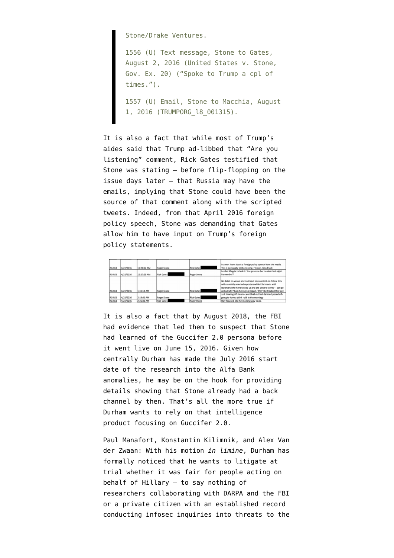Stone/Drake Ventures.

1556 (U) Text message, Stone to Gates, August 2, 2016 (United States v. Stone, Gov. Ex. 20) ("Spoke to Trump a cpl of times.").

1557 (U) Email, Stone to Macchia, August 1, 2016 (TRUMPORG\_l8\_001315).

It is also a fact that while most of Trump's aides said that Trump ad-libbed that "Are you listening" comment, [Rick Gates testified](https://www.documentcloud.org/documents/7039357-200818-SSCI-Russia-Report#document/p246/a2002920) that Stone was stating — before flip-flopping on the issue days later — that Russia may have the emails, implying that Stone could have been the source of that comment along with the scripted tweets. Indeed, from that April 2016 foreign policy speech, Stone was [demanding](https://beta.documentcloud.org/documents/7213866-160412-Gates-Stone-Texts#document/p1/a2002946) that Gates allow him to have input on Trump's foreign policy statements.



It is also a fact that by August 2018, the FBI had evidence that led them to suspect that Stone [had learned of](https://www.documentcloud.org/documents/6879593-180820-Stone-AT-T#document/p12/a562235) the Guccifer 2.0 persona before it went live on June 15, 2016. Given how centrally Durham has made the July 2016 start date of the research into the Alfa Bank anomalies, he may be on the hook for providing details showing that Stone already had a back channel by then. That's all the more true if Durham wants to rely on that intelligence product focusing on Guccifer 2.0.

Paul Manafort, Konstantin Kilimnik, and Alex Van der Zwaan: With his motion *in limine*, Durham has formally noticed that he wants to litigate at trial whether it was fair for people acting on behalf of Hillary — to say nothing of researchers collaborating with DARPA and the FBI or a private citizen with an established record conducting infosec inquiries into threats to the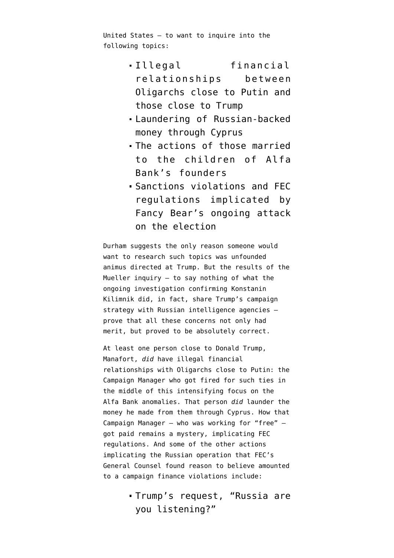United States — to want to inquire into the following topics:

- Illegal financial relationships between Oligarchs close to Putin and those close to Trump
- Laundering of Russian-backed money through Cyprus
- The actions of those married to the children of Alfa Bank's founders
- Sanctions violations and FEC regulations implicated by Fancy Bear's ongoing attack on the election

Durham suggests the only reason someone would want to research such topics was unfounded animus directed at Trump. But the results of the Mueller inquiry — to say nothing of what the ongoing investigation [confirming Konstanin](https://www.emptywheel.net/2021/04/15/treasury-states-as-fact-that-konstantin-kilimnik-shared-polling-data-with-russian-intelligence/) [Kilimnik did](https://www.emptywheel.net/2021/04/15/treasury-states-as-fact-that-konstantin-kilimnik-shared-polling-data-with-russian-intelligence/), in fact, share Trump's campaign strategy with Russian intelligence agencies prove that all these concerns not only had merit, but proved to be absolutely correct.

At least one person close to Donald Trump, Manafort, *did* have illegal financial relationships with Oligarchs close to Putin: the Campaign Manager who got fired for such ties in the middle of this intensifying focus on the Alfa Bank anomalies. That person *did* launder the money he made from them through Cyprus. How that Campaign Manager — who was working for "free" got paid remains a mystery, implicating FEC regulations. And some of the other actions implicating the Russian operation that FEC's General Counsel [found reason to believe amounted](https://www.fec.gov/data/legal/matter-under-review/7207/) to a campaign finance violations include:

> Trump's request, "Russia are you listening?"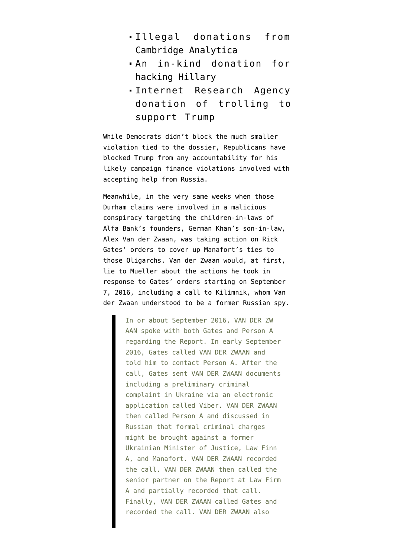- Illegal donations from Cambridge Analytica
- An in-kind donation for hacking Hillary
- Internet Research Agency donation of trolling to support Trump

While Democrats didn't block the much smaller violation tied to the dossier, Republicans [have](https://www.thedailybeast.com/donald-trump-is-now-miraculously-43-0-against-partisan-fec) [blocked](https://www.thedailybeast.com/donald-trump-is-now-miraculously-43-0-against-partisan-fec) Trump from any accountability for his likely campaign finance violations involved with accepting help from Russia.

Meanwhile, in the very same weeks when those Durham claims were involved in a malicious conspiracy targeting the children-in-laws of Alfa Bank's founders, German Khan's son-in-law, Alex Van der Zwaan, was taking action on Rick Gates' orders to cover up Manafort's ties to those Oligarchs. Van der Zwaan would, at first, lie to Mueller about the actions he took [in](https://www.documentcloud.org/documents/21031656-16th-mueller-foia-release#document/p442/a2049085) [response to Gates' orders](https://www.documentcloud.org/documents/21031656-16th-mueller-foia-release#document/p442/a2049085) starting on September 7, 2016, including [a call to Kilimnik](https://abcnews.go.com/Politics/indictment-alex-van-der-zwaan/story?id=61149095), whom Van der Zwaan [understood to be](https://www.documentcloud.org/documents/21031656-16th-mueller-foia-release#document/p422/a2094943) a former Russian spy.

> In or about September 2016, VAN DER ZW AAN spoke with both Gates and Person A regarding the Report. In early September 2016, Gates called VAN DER ZWAAN and told him to contact Person A. After the call, Gates sent VAN DER ZWAAN documents including a preliminary criminal complaint in Ukraine via an electronic application called Viber. VAN DER ZWAAN then called Person A and discussed in Russian that formal criminal charges might be brought against a former Ukrainian Minister of Justice, Law Finn A, and Manafort. VAN DER ZWAAN recorded the call. VAN DER ZWAAN then called the senior partner on the Report at Law Firm A and partially recorded that call. Finally, VAN DER ZWAAN called Gates and recorded the call. VAN DER ZWAAN also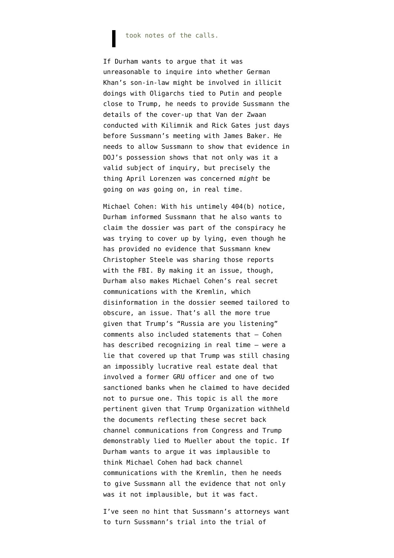## took notes of the calls.

If Durham wants to argue that it was unreasonable to inquire into whether German Khan's son-in-law might be involved in illicit doings with Oligarchs tied to Putin and people close to Trump, he needs to provide Sussmann the details of the cover-up that Van der Zwaan conducted with Kilimnik and Rick Gates just days before Sussmann's meeting with James Baker. He needs to allow Sussmann to show that evidence in DOJ's possession shows that not only was it a valid subject of inquiry, but precisely the thing April Lorenzen was concerned *might* be going on *was* going on, in real time.

Michael Cohen: With his untimely 404(b) notice, Durham informed Sussmann that he also wants to claim the dossier was part of the conspiracy he was trying to cover up by lying, even though he has provided no evidence that Sussmann knew Christopher Steele was sharing those reports with the FBI. By making it an issue, though, Durham also makes Michael Cohen's real secret communications with the Kremlin, which disinformation in the dossier seemed tailored to obscure, an issue. That's all the more true given that Trump's "Russia are you listening" comments also included statements that — Cohen has described recognizing in real time — were a lie that covered up that Trump was still chasing an impossibly lucrative real estate deal that involved a former GRU officer and one of two sanctioned banks when he claimed to have decided not to pursue one. This topic is all the more pertinent given that Trump Organization [withheld](https://www.emptywheel.net/2019/07/20/the-curious-treatment-of-michael-cohens-trump-organization-email/) the documents reflecting these secret back channel communications from Congress and Trump [demonstrably lied](https://www.emptywheel.net/2019/07/22/congress-already-has-evidence-trump-lied-under-oath-to-robert-mueller/) to Mueller about the topic. If Durham wants to argue it was implausible to think Michael Cohen had back channel communications with the Kremlin, then he needs to give Sussmann all the evidence that not only was it not implausible, but it was fact.

I've seen no hint that Sussmann's attorneys want to turn Sussmann's trial into the trial of